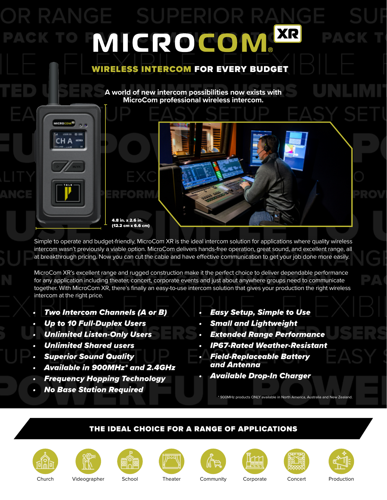# **XR** MICROCOM WIRELESS INTERCOM FOR EVERY BUDGET **A world of new intercom possibilities now exists with**

**MicroCom professional wireless intercom.** 

4.8 in. x 2.6 in. (12.2 cm x 6.6 cm)

Simple to operate and budget-friendly, MicroCom XR is the ideal intercom solution for applications where quality wireless intercom wasn't previously a viable option. MicroCom delivers hands-free operation, great sound, and excellent range, all at breakthrough pricing. Now you can cut the cable and have effective communication to get your job done more easily.

MicroCom XR's excellent range and rugged construction make it the perfect choice to deliver dependable performance for any application including theater, concert, corporate events and just about anywhere groups need to communicate together. With MicroCom XR, there's finally an easy-to-use intercom solution that gives your production the right wireless intercom at the right price.

- Two Intercom Channels (A or B)
- Up to 10 Full-Duplex Users
- Unlimited Listen-Only Users
- Unlimited Shared users

міспосом.<sup>63</sup>

USER 00 IS CITE CH A **LERK** 

- **Superior Sound Quality**
- Available in 900MHz\* and 2.4GHz
- Frequency Hopping Technology
- No Base Station Required
- Easy Setup, Simple to Use
- Small and Lightweight
- Extended Range Performance
- IP67-Rated Weather-Resistant
- Field-Replaceable Battery and Antenna
- Available Drop-In Charger

\* 900MHz products ONLY available in North America, Australia and New Zealand.

### THE IDEAL CHOICE FOR A RANGE OF APPLICATIONS

















Church Videographer School Theater Community Corporate Concert Production